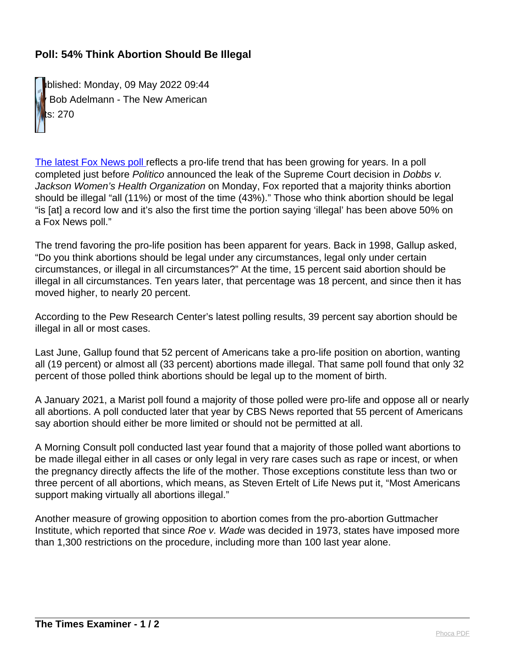## **Poll: 54% Think Abortion Should Be Illegal**

Published: Monday, 09 May 2022 09:44 Bob Adelmann - The New American Hits: 270

[The latest Fox News poll](https://www.foxnews.com/official-polls/fox-news-poll-just-over-half-favor-banning-abortions-after-15-weeks) reflects a pro-life trend that has been growing for years. In a poll completed just before Politico announced the leak of the Supreme Court decision in Dobbs v. Jackson Women's Health Organization on Monday, Fox reported that a majority thinks abortion should be illegal "all (11%) or most of the time (43%)." Those who think abortion should be legal "is [at] a record low and it's also the first time the portion saying 'illegal' has been above 50% on a Fox News poll."

The trend favoring the pro-life position has been apparent for years. Back in 1998, Gallup asked, "Do you think abortions should be legal under any circumstances, legal only under certain circumstances, or illegal in all circumstances?" At the time, 15 percent said abortion should be illegal in all circumstances. Ten years later, that percentage was 18 percent, and since then it has moved higher, to nearly 20 percent.

According to the Pew Research Center's latest polling results, 39 percent say abortion should be illegal in all or most cases.

Last June, Gallup found that 52 percent of Americans take a pro-life position on abortion, wanting all (19 percent) or almost all (33 percent) abortions made illegal. That same poll found that only 32 percent of those polled think abortions should be legal up to the moment of birth.

A January 2021, a Marist poll found a majority of those polled were pro-life and oppose all or nearly all abortions. A poll conducted later that year by CBS News reported that 55 percent of Americans say abortion should either be more limited or should not be permitted at all.

A Morning Consult poll conducted last year found that a majority of those polled want abortions to be made illegal either in all cases or only legal in very rare cases such as rape or incest, or when the pregnancy directly affects the life of the mother. Those exceptions constitute less than two or three percent of all abortions, which means, as Steven Ertelt of Life News put it, "Most Americans support making virtually all abortions illegal."

Another measure of growing opposition to abortion comes from the pro-abortion Guttmacher Institute, which reported that since Roe v. Wade was decided in 1973, states have imposed more than 1,300 restrictions on the procedure, including more than 100 last year alone.